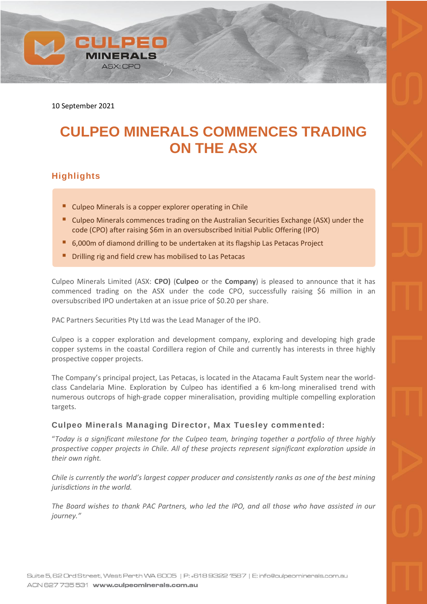10 September 2021

**CULPEO** 

*INERALS* ASX: CPO

# **CULPEO MINERALS COMMENCES TRADING ON THE ASX**

## **Highlights**

- Culpeo Minerals is a copper explorer operating in Chile
- Culpeo Minerals commences trading on the Australian Securities Exchange (ASX) under the code (CPO) after raising \$6m in an oversubscribed Initial Public Offering (IPO)
- 6,000m of diamond drilling to be undertaken at its flagship Las Petacas Project
- Drilling rig and field crew has mobilised to Las Petacas

Culpeo Minerals Limited (ASX: **CPO)** (**Culpeo** or the **Company**) is pleased to announce that it has commenced trading on the ASX under the code CPO, successfully raising \$6 million in an oversubscribed IPO undertaken at an issue price of \$0.20 per share.

PAC Partners Securities Pty Ltd was the Lead Manager of the IPO.

Culpeo is a copper exploration and development company, exploring and developing high grade copper systems in the coastal Cordillera region of Chile and currently has interests in three highly prospective copper projects.

The Company's principal project, Las Petacas, is located in the Atacama Fault System near the worldclass Candelaria Mine. Exploration by Culpeo has identified a 6 km-long mineralised trend with numerous outcrops of high-grade copper mineralisation, providing multiple compelling exploration targets.

#### **Culpeo Minerals Managing Director, Max Tuesley commented:**

"*Today is a significant milestone for the Culpeo team, bringing together a portfolio of three highly prospective copper projects in Chile. All of these projects represent significant exploration upside in their own right.*

*Chile is currently the world's largest copper producer and consistently ranks as one of the best mining jurisdictions in the world.*

*The Board wishes to thank PAC Partners, who led the IPO, and all those who have assisted in our journey."*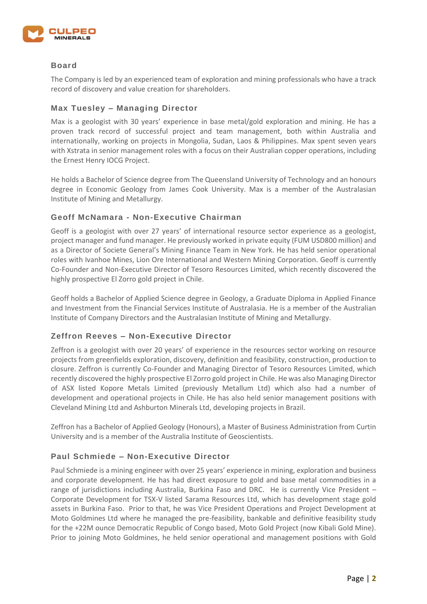

#### **Board**

The Company is led by an experienced team of exploration and mining professionals who have a track record of discovery and value creation for shareholders.

#### **Max Tuesley – Managing Director**

Max is a geologist with 30 years' experience in base metal/gold exploration and mining. He has a proven track record of successful project and team management, both within Australia and internationally, working on projects in Mongolia, Sudan, Laos & Philippines. Max spent seven years with Xstrata in senior management roles with a focus on their Australian copper operations, including the Ernest Henry IOCG Project.

He holds a Bachelor of Science degree from The Queensland University of Technology and an honours degree in Economic Geology from James Cook University. Max is a member of the Australasian Institute of Mining and Metallurgy.

#### **Geoff McNamara - Non-Executive Chairman**

Geoff is a geologist with over 27 years' of international resource sector experience as a geologist, project manager and fund manager. He previously worked in private equity (FUM USD800 million) and as a Director of Societe General's Mining Finance Team in New York. He has held senior operational roles with Ivanhoe Mines, Lion Ore International and Western Mining Corporation. Geoff is currently Co-Founder and Non-Executive Director of Tesoro Resources Limited, which recently discovered the highly prospective El Zorro gold project in Chile.

Geoff holds a Bachelor of Applied Science degree in Geology, a Graduate Diploma in Applied Finance and Investment from the Financial Services Institute of Australasia. He is a member of the Australian Institute of Company Directors and the Australasian Institute of Mining and Metallurgy.

#### **Zeffron Reeves – Non-Executive Director**

Zeffron is a geologist with over 20 years' of experience in the resources sector working on resource projects from greenfields exploration, discovery, definition and feasibility, construction, production to closure. Zeffron is currently Co-Founder and Managing Director of Tesoro Resources Limited, which recently discovered the highly prospective El Zorro gold project in Chile. He was also Managing Director of ASX listed Kopore Metals Limited (previously Metallum Ltd) which also had a number of development and operational projects in Chile. He has also held senior management positions with Cleveland Mining Ltd and Ashburton Minerals Ltd, developing projects in Brazil.

Zeffron has a Bachelor of Applied Geology (Honours), a Master of Business Administration from Curtin University and is a member of the Australia Institute of Geoscientists.

#### **Paul Schmiede – Non-Executive Director**

Paul Schmiede is a mining engineer with over 25 years' experience in mining, exploration and business and corporate development. He has had direct exposure to gold and base metal commodities in a range of jurisdictions including Australia, Burkina Faso and DRC. He is currently Vice President – Corporate Development for TSX-V listed Sarama Resources Ltd, which has development stage gold assets in Burkina Faso. Prior to that, he was Vice President Operations and Project Development at Moto Goldmines Ltd where he managed the pre-feasibility, bankable and definitive feasibility study for the +22M ounce Democratic Republic of Congo based, Moto Gold Project (now Kibali Gold Mine). Prior to joining Moto Goldmines, he held senior operational and management positions with Gold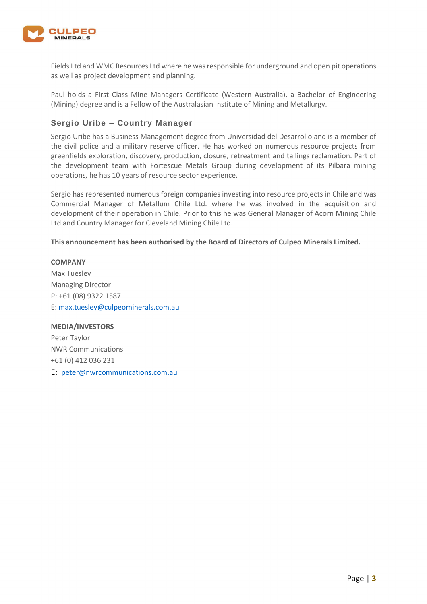

Fields Ltd and WMC Resources Ltd where he was responsible for underground and open pit operations as well as project development and planning.

Paul holds a First Class Mine Managers Certificate (Western Australia), a Bachelor of Engineering (Mining) degree and is a Fellow of the Australasian Institute of Mining and Metallurgy.

### **Sergio Uribe – Country Manager**

Sergio Uribe has a Business Management degree from Universidad del Desarrollo and is a member of the civil police and a military reserve officer. He has worked on numerous resource projects from greenfields exploration, discovery, production, closure, retreatment and tailings reclamation. Part of the development team with Fortescue Metals Group during development of its Pilbara mining operations, he has 10 years of resource sector experience.

Sergio has represented numerous foreign companies investing into resource projects in Chile and was Commercial Manager of Metallum Chile Ltd. where he was involved in the acquisition and development of their operation in Chile. Prior to this he was General Manager of Acorn Mining Chile Ltd and Country Manager for Cleveland Mining Chile Ltd.

**This announcement has been authorised by the Board of Directors of Culpeo Minerals Limited.**

#### **COMPANY**

Max Tuesley Managing Director P: +61 (08) 9322 1587 E[: max.tuesley@culpeominerals.com.au](mailto:max.tuesley@culpeominerals.com.au)

**MEDIA/INVESTORS** Peter Taylor NWR Communications +61 (0) 412 036 231 E: [peter@nwrcommunications.com.au](mailto:peter@nwrcommunications.com.au)